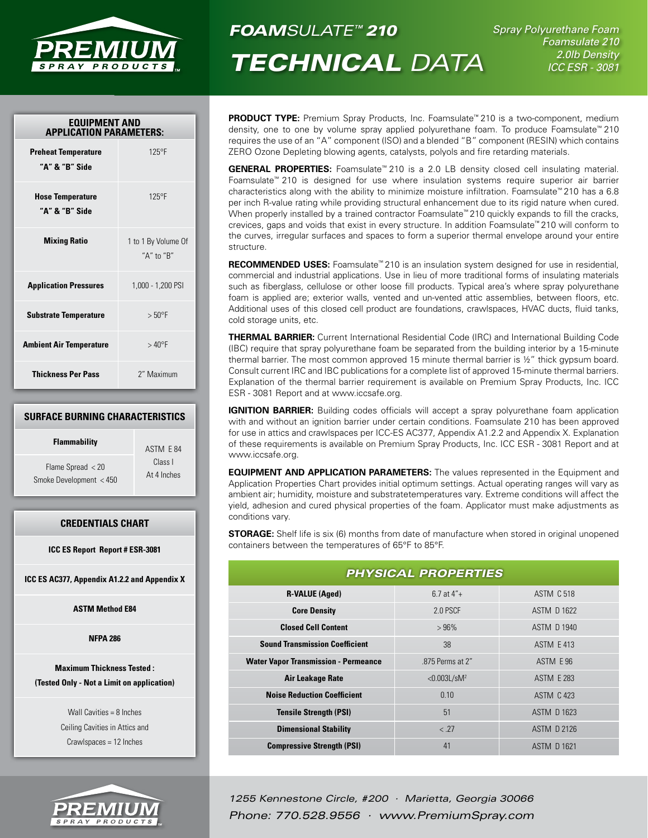

# *FOAMSULATE™ 210*

*Technical Data*

*Spray Polyurethane Foam Foamsulate 210 2.0lb Density ICC ESR - 3081*

| <b>EQUIPMENT AND</b><br><b>APPLICATION PARAMETERS:</b> |                                   |  |
|--------------------------------------------------------|-----------------------------------|--|
| <b>Preheat Temperature</b><br>"A" & "B" Side           | $125^{\circ}F$                    |  |
| <b>Hose Temperature</b><br>"A" & "B" Side              | $125^{\circ}F$                    |  |
| <b>Mixing Ratio</b>                                    | 1 to 1 By Volume Of<br>"A" to "R" |  |
| <b>Application Pressures</b>                           | 1,000 - 1,200 PSI                 |  |
| <b>Substrate Temperature</b>                           | $> 50^{\circ}$ F                  |  |
| <b>Ambient Air Temperature</b>                         | $>40^{\circ}$ F                   |  |
| <b>Thickness Per Pass</b>                              | 2" Maximum                        |  |

## **Surface Burning Characteristics**

| <b>Flammability</b>     | ASTM E 84   |
|-------------------------|-------------|
| Flame Spread $<$ 20     | Class I     |
| Smoke Development < 450 | At 4 Inches |

# **Credentials Chart**

**ICC ES Report Report # ESR-3081**

**ICC ES AC377, Appendix A1.2.2 and Appendix X**

**ASTM Method E84**

## **NFPA 286**

**Maximum Thickness Tested : (Tested Only - Not a Limit on application)**

> Wall Cavities = 8 Inches Ceiling Cavities in Attics and Crawlspaces = 12 Inches



**PRODUCT TYPE:** Premium Spray Products, Inc. Foamsulate<sup>™</sup> 210 is a two-component, medium density, one to one by volume spray applied polyurethane foam. To produce Foamsulate™ 210 requires the use of an "A" component (ISO) and a blended "B" component (RESIN) which contains ZERO Ozone Depleting blowing agents, catalysts, polyols and fire retarding materials.

**GENERAL PROPERTIES:** Foamsulate™ 210 is a 2.0 LB density closed cell insulating material. Foamsulate™ 210 is designed for use where insulation systems require superior air barrier characteristics along with the ability to minimize moisture infiltration. Foamsulate™ 210 has a 6.8 per inch R-value rating while providing structural enhancement due to its rigid nature when cured. When properly installed by a trained contractor Foamsulate<sup>™</sup> 210 quickly expands to fill the cracks, crevices, gaps and voids that exist in every structure. In addition Foamsulate™ 210 will conform to the curves, irregular surfaces and spaces to form a superior thermal envelope around your entire structure.

**RECOMMENDED USES:** Foamsulate<sup>™</sup> 210 is an insulation system designed for use in residential, commercial and industrial applications. Use in lieu of more traditional forms of insulating materials such as fiberglass, cellulose or other loose fill products. Typical area's where spray polyurethane foam is applied are; exterior walls, vented and un-vented attic assemblies, between floors, etc. Additional uses of this closed cell product are foundations, crawlspaces, HVAC ducts, fluid tanks, cold storage units, etc.

**Thermal Barrier:** Current International Residential Code (IRC) and International Building Code (IBC) require that spray polyurethane foam be separated from the building interior by a 15-minute thermal barrier. The most common approved 15 minute thermal barrier is  $\frac{1}{2}$ " thick gypsum board. Consult current IRC and IBC publications for a complete list of approved 15-minute thermal barriers. Explanation of the thermal barrier requirement is available on Premium Spray Products, Inc. ICC ESR - 3081 Report and at www.iccsafe.org.

**IGNITION BARRIER:** Building codes officials will accept a spray polyurethane foam application with and without an ignition barrier under certain conditions. Foamsulate 210 has been approved for use in attics and crawlspaces per ICC-ES AC377, Appendix A1.2.2 and Appendix X. Explanation of these requirements is available on Premium Spray Products, Inc. ICC ESR - 3081 Report and at www.iccsafe.org.

**EQUIPMENT AND APPLICATION PARAMETERS:** The values represented in the Equipment and Application Properties Chart provides initial optimum settings. Actual operating ranges will vary as ambient air; humidity, moisture and substratetemperatures vary. Extreme conditions will affect the yield, adhesion and cured physical properties of the foam. Applicator must make adjustments as conditions vary.

**STORAGE:** Shelf life is six (6) months from date of manufacture when stored in original unopened containers between the temperatures of 65°F to 85°F.

| <b>PHYSICAL PROPERTIES</b>                  |                             |                    |  |
|---------------------------------------------|-----------------------------|--------------------|--|
| <b>R-VALUE (Aged)</b>                       | $6.7$ at $4"$ +             | <b>ASTM C 518</b>  |  |
| <b>Core Density</b>                         | 2.0 PSCF                    | ASTM D 1622        |  |
| <b>Closed Cell Content</b>                  | $>96\%$                     | ASTM D 1940        |  |
| <b>Sound Transmission Coefficient</b>       | 38                          | <b>ASTM E 413</b>  |  |
| <b>Water Vapor Transmission - Permeance</b> | .875 Perms at 2"            | ASTM E 96          |  |
| Air Leakage Rate                            | $< 0.003$ L/sM <sup>2</sup> | <b>ASTM E 283</b>  |  |
| <b>Noise Reduction Coefficient</b>          | 0.10                        | <b>ASTM C 423</b>  |  |
| <b>Tensile Strength (PSI)</b>               | 51                          | ASTM D 1623        |  |
| <b>Dimensional Stability</b>                | < .27                       | <b>ASTM D 2126</b> |  |
| <b>Compressive Strength (PSI)</b>           | 41                          | ASTM D 1621        |  |

*1255 Kennestone Circle, #200 · Marietta, Georgia 30066 Phone: 770.528.9556 · www.PremiumSpray.com*